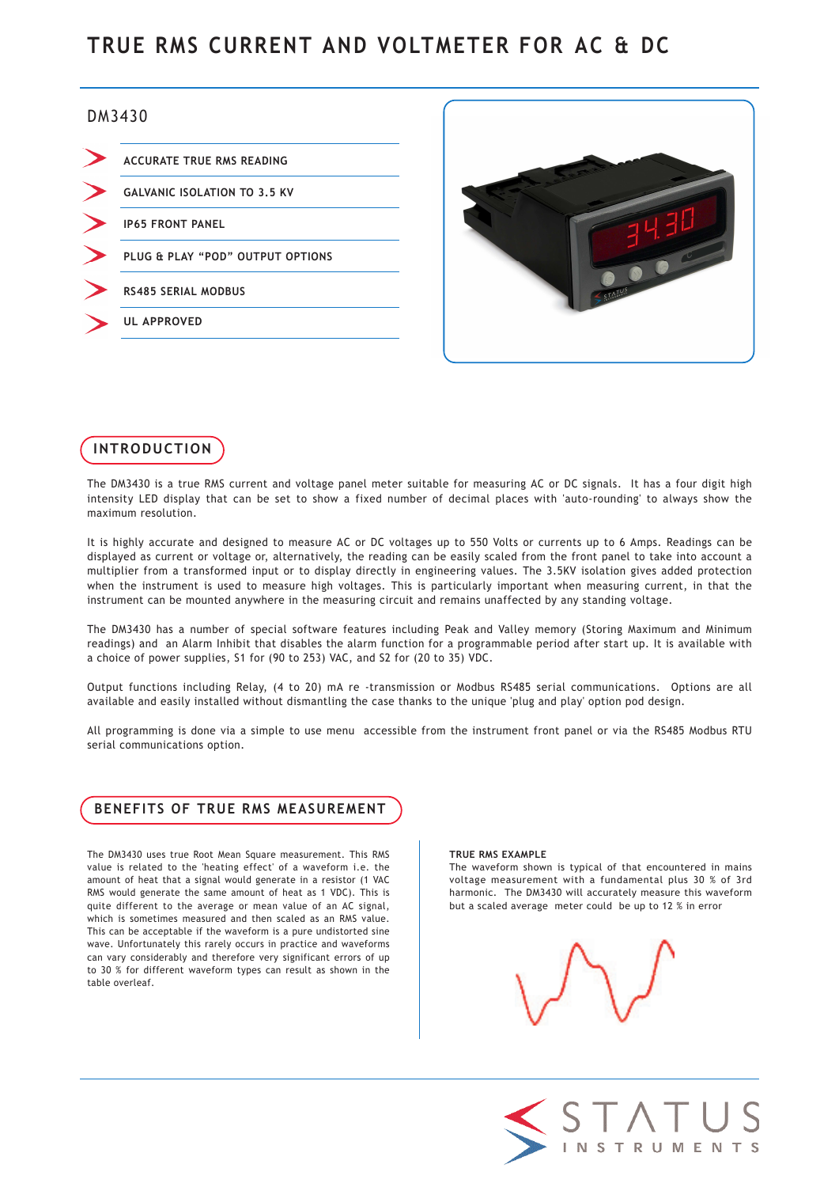# TRUE RMS CURRENT AND VOLTMETER FOR AC & DC

# DM3430

| <b>ACCURATE TRUE RMS READING</b>    |
|-------------------------------------|
| <b>GALVANIC ISOLATION TO 3.5 KV</b> |
| <b>IP65 FRONT PANEL</b>             |
| PLUG & PLAY "POD" OUTPUT OPTIONS    |
| <b>RS485 SERIAL MODBUS</b>          |
| <b>UL APPROVED</b>                  |
|                                     |





The DM3430 is a true RMS current and voltage panel meter suitable for measuring AC or DC signals. It has a four digit high intensity LED display that can be set to show a fixed number of decimal places with 'auto-rounding' to always show the maximum resolution.

It is highly accurate and designed to measure AC or DC voltages up to 550 Volts or currents up to 6 Amps. Readings can be displayed as current or voltage or, alternatively, the reading can be easily scaled from the front panel to take into account a multiplier from a transformed input or to display directly in engineering values. The 3.5KV isolation gives added protection when the instrument is used to measure high voltages. This is particularly important when measuring current, in that the instrument can be mounted anywhere in the measuring circuit and remains unaffected by any standing voltage.

The DM3430 has a number of special software features including Peak and Valley memory (Storing Maximum and Minimum readings) and an Alarm Inhibit that disables the alarm function for a programmable period after start up. It is available with a choice of power supplies, S1 for (90 to 253) VAC, and S2 for (20 to 35) VDC.

Output functions including Relay, (4 to 20) mA re -transmission or Modbus RS485 serial communications. Options are all available and easily installed without dismantling the case thanks to the unique 'plug and play' option pod design.

All programming is done via a simple to use menu accessible from the instrument front panel or via the RS485 Modbus RTU serial communications option.

# BENEFITS OF TRUE RMS MEASUREMENT

The DM3430 uses true Root Mean Square measurement. This RMS value is related to the 'heating effect' of a waveform i.e. the amount of heat that a signal would generate in a resistor (1 VAC RMS would generate the same amount of heat as 1 VDC). This is quite different to the average or mean value of an AC signal, which is sometimes measured and then scaled as an RMS value. This can be acceptable if the waveform is a pure undistorted sine wave. Unfortunately this rarely occurs in practice and waveforms can vary considerably and therefore very significant errors of up to 30 % for different waveform types can result as shown in the table overleaf.

#### TRUE RMS EXAMPLE

The waveform shown is typical of that encountered in mains voltage measurement with a fundamental plus 30 % of 3rd harmonic. The DM3430 will accurately measure this waveform but a scaled average meter could be up to 12 % in error



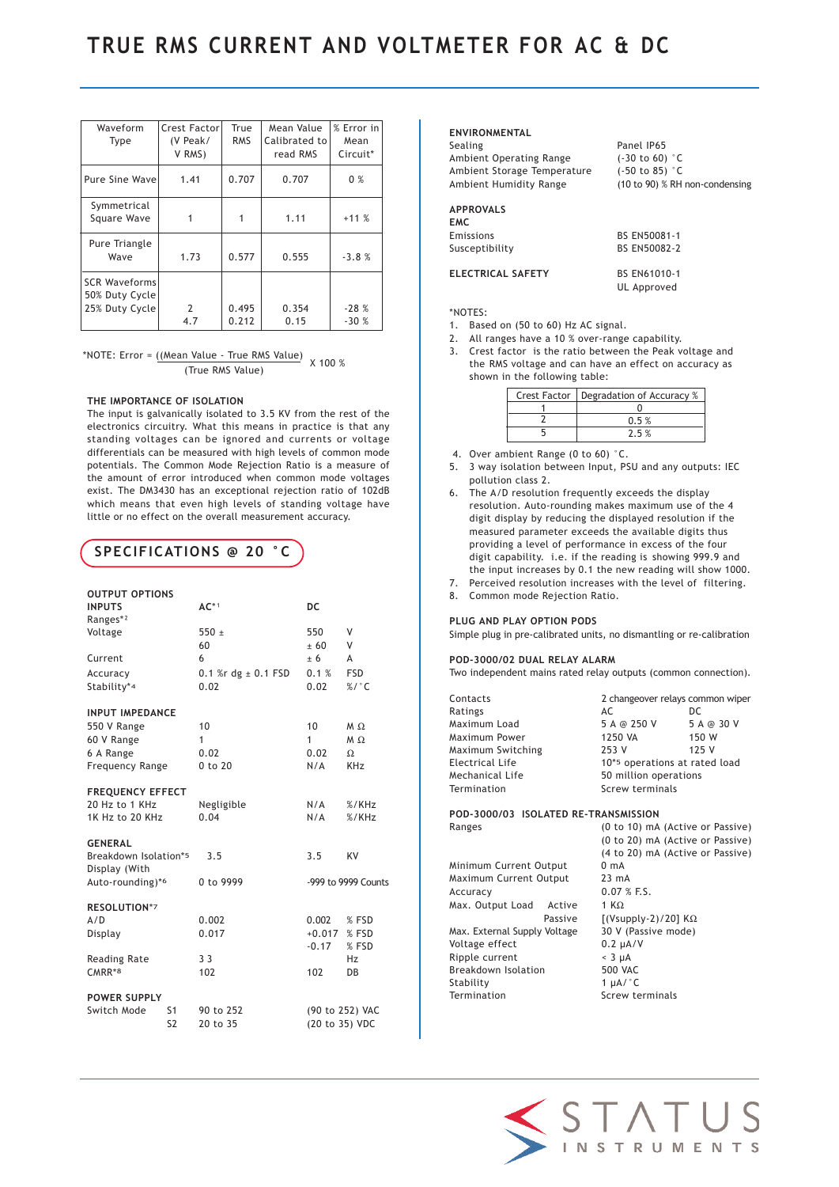| Waveform<br>Type                                         | Crest Factor<br>(V Peak/<br>V RMS) | True<br><b>RMS</b> | Mean Value<br>Calibrated to<br>read RMS | % Error in<br>Mean<br>Circuit* |
|----------------------------------------------------------|------------------------------------|--------------------|-----------------------------------------|--------------------------------|
| Pure Sine Wave                                           | 1.41                               | 0.707              | 0.707                                   | 0%                             |
| Symmetrical<br>Square Wave                               |                                    |                    | 1.11                                    | $+11%$                         |
| Pure Triangle<br>Wave                                    | 1.73                               | 0.577              | 0.555                                   | $-3.8%$                        |
| <b>SCR Waveforms</b><br>50% Duty Cycle<br>25% Duty Cycle | 2<br>4.7                           | 0.495<br>0.212     | 0.354<br>0.15                           | $-28%$<br>$-30%$               |

\*NOTE: Error =  $\frac{(Mean Value - True RMS Value)}{T}$  x 100 % (True RMS Value)

## THE IMPORTANCE OF ISOLATION

The input is galvanically isolated to 3.5 KV from the rest of the electronics circuitry. What this means in practice is that any standing voltages can be ignored and currents or voltage differentials can be measured with high levels of common mode potentials. The Common Mode Rejection Ratio is a measure of the amount of error introduced when common mode voltages exist. The DM3430 has an exceptional rejection ratio of 102dB which means that even high levels of standing voltage have little or no effect on the overall measurement accuracy.

# SPECIFICATIONS @ 20 °C

| Ranges* <sup>2</sup>                                 |                     |
|------------------------------------------------------|---------------------|
|                                                      |                     |
| Voltage<br>$550 +$<br>550                            | V                   |
| 60<br>$+60$                                          | V                   |
| Current<br>6<br>± 6                                  | A                   |
| 0.1 %r dg $\pm$ 0.1 FSD<br>0.1%<br>Accuracy          | <b>FSD</b>          |
| Stability*4<br>0.02<br>0.02                          | $% /$ °C            |
| <b>INPUT IMPEDANCE</b>                               |                     |
| 10<br>10<br>550 V Range                              | $M \Omega$          |
| $\mathbf{1}$<br>$\mathbf{1}$<br>60 V Range           | M O                 |
| 0.02<br>0.02<br>6 A Range                            | $\Omega$            |
| N/A<br><b>Frequency Range</b><br>0 to 20             | <b>KHz</b>          |
| <b>FREQUENCY EFFECT</b>                              |                     |
| 20 Hz to 1 KHz<br>N/A<br>Negligible                  | % / KHz             |
| 0.04<br>1K Hz to 20 KHz<br>N/A                       | % / KHz             |
| <b>GENERAL</b>                                       |                     |
| Breakdown Isolation*5<br>3.5<br>3.5<br>Display (With | KV                  |
| Auto-rounding)*6<br>0 to 9999                        | -999 to 9999 Counts |
| RESOLUTION*7                                         |                     |
| A/D<br>0.002<br>0.002                                | % FSD               |
| $+0.017$<br>0.017<br>Display                         | % FSD               |
| $-0.17$                                              | % FSD               |
| 3 <sub>3</sub><br>Reading Rate                       | Hz                  |
| CMRR*8<br>102<br>102                                 | DB                  |
| <b>POWER SUPPLY</b>                                  |                     |
| Switch Mode<br>S <sub>1</sub><br>90 to 252           | (90 to 252) VAC     |
| S <sub>2</sub><br>20 to 35                           | (20 to 35) VDC      |

## ENVIRONMENTAL

| Sealing                     | Panel IP65                     |
|-----------------------------|--------------------------------|
| Ambient Operating Range     | $(-30 \text{ to } 60)$ °C      |
| Ambient Storage Temperature | $(-50 \text{ to } 85)$ °C      |
| Ambient Humidity Range      | (10 to 90) % RH non-condensing |
| <b>APPROVALS</b>            |                                |
|                             |                                |

UL Approved

## EMC Emissions BS EN50081-1 Susceptibility BS EN50082-2

# ELECTRICAL SAFETY BS EN61010-1

\*NOTES:

- 1. Based on (50 to 60) Hz AC signal.
- 2. All ranges have a 10 % over-range capability.
- 3. Crest factor is the ratio between the Peak voltage and the RMS voltage and can have an effect on accuracy as shown in the following table:

| Crest Factor | Degradation of Accuracy % |
|--------------|---------------------------|
|              |                           |
|              | 0.5%                      |
|              | 7.5%                      |

- 4. Over ambient Range (0 to 60) °C.
- 5. 3 way isolation between Input, PSU and any outputs: IEC pollution class 2.
- 6. The A/D resolution frequently exceeds the display resolution. Auto-rounding makes maximum use of the 4 digit display by reducing the displayed resolution if the measured parameter exceeds the available digits thus providing a level of performance in excess of the four digit capability. i.e. if the reading is showing 999.9 and the input increases by 0.1 the new reading will show 1000.
- 7. Perceived resolution increases with the level of filtering.
- 8. Common mode Rejection Ratio.

#### PLUG AND PLAY OPTION PODS

Simple plug in pre-calibrated units, no dismantling or re-calibration

#### POD-3000/02 DUAL RELAY ALARM

Two independent mains rated relay outputs (common connection).

| Contacts                             |         | 2 changeover relays common wiper |            |
|--------------------------------------|---------|----------------------------------|------------|
| Ratings                              |         | AC                               | DC.        |
| Maximum Load                         |         | 5 A @ 250 V                      | 5 A @ 30 V |
| Maximum Power                        |         | 1250 VA                          | 150 W      |
| Maximum Switching                    |         | 253 V                            | 125 V      |
| Electrical Life                      |         | 10*5 operations at rated load    |            |
| Mechanical Life                      |         | 50 million operations            |            |
| Termination                          |         | Screw terminals                  |            |
|                                      |         |                                  |            |
| POD-3000/03 ISOLATED RE-TRANSMISSION |         |                                  |            |
| Ranges                               |         | (0 to 10) mA (Active or Passive) |            |
|                                      |         | (0 to 20) mA (Active or Passive) |            |
|                                      |         | (4 to 20) mA (Active or Passive) |            |
| Minimum Current Output               |         | 0 <sub>mA</sub>                  |            |
| Maximum Current Output               |         | $23 \text{ mA}$                  |            |
| Accuracy                             |         | 0.07 % F.S.                      |            |
| Max. Output Load                     | Active  | 1 KQ                             |            |
|                                      | Passive | $[(Vsupply-2)/20]$ K $\Omega$    |            |
| Max. External Supply Voltage         |         | 30 V (Passive mode)              |            |
| Voltage effect                       |         | $0.2 \mu A/V$                    |            |
| Ripple current                       |         | $< 3 \mu A$                      |            |
| Breakdown Isolation                  |         | <b>500 VAC</b>                   |            |
| Stability                            |         | 1 $HA$ $^{\circ}$ C              |            |



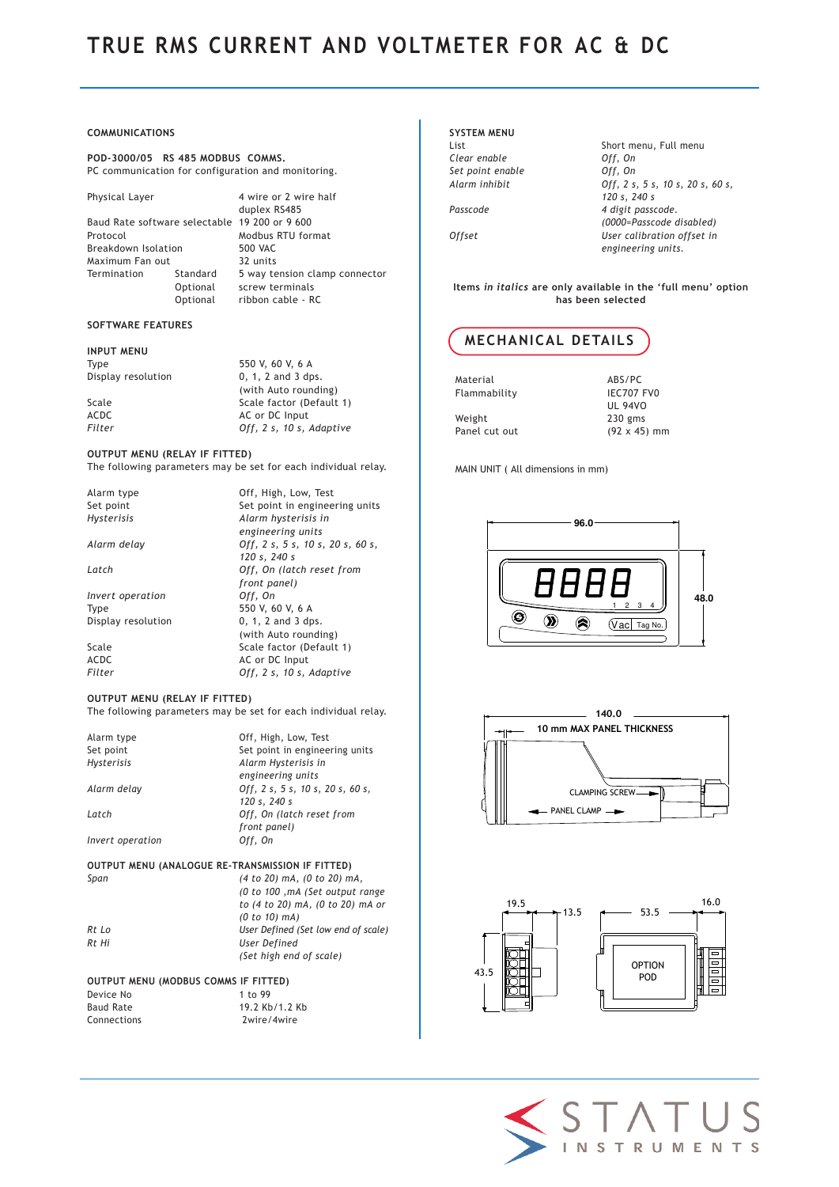# TRUE RMS CURRENT AND VOLTMETER FOR AC & DC

### COMMUNICATIONS

POD-3000/05 RS 485 MODBUS COMMS. PC communication for configuration and monitoring.

Baud Rate software selectable 19 200 or 9 600 Protocol Modbus RTU format Breakdown Isolation 500 VAC Maximum Fan out 32 units<br>Termination 5 way to

Physical Layer 4 wire or 2 wire half duplex RS485 Termination Standard 5 way tension clamp connector Optional screw terminals Optional ribbon cable - RC

# SOFTWARE FEATURES

INPUT MENU  $D$ isplay resolution

Type  $550$  V, 60 V, 6 A<br>Display resolution  $0, 1, 2$  and 3 dps. (with Auto rounding) Scale Scale factor (Default 1)<br>ACDC AC or DC Input ACDC ACD AC or DC Input<br>Filter 0ff. 2 s. 10 s. Off,  $2 s$ ,  $10 s$ , Adaptive

#### OUTPUT MENU (RELAY IF FITTED)

The following parameters may be set for each individual relay.

| Alarm type         | Off, High, Low, Test             |
|--------------------|----------------------------------|
| Set point          | Set point in engineering units   |
| <b>Hysterisis</b>  | Alarm hysterisis in              |
|                    | engineering units                |
| Alarm delay        | Off, 2 s, 5 s, 10 s, 20 s, 60 s, |
|                    | 120 s, 240 s                     |
| Latch              | Off, On (latch reset from        |
|                    | front panel)                     |
| Invert operation   | Off, On                          |
| Type               | 550 V, 60 V, 6 A                 |
| Display resolution | $0, 1, 2$ and $3$ dps.           |
|                    | (with Auto rounding)             |
| Scale              | Scale factor (Default 1)         |
| ACDC               | AC or DC Input                   |
| Filter             | Off, 2 s, 10 s, Adaptive         |
|                    |                                  |

#### OUTPUT MENU (RELAY IF FITTED)

The following parameters may be set for each individual relay.

| Alarm type<br>Set point<br><b>Hysterisis</b> | Off, High, Low, Test<br>Set point in engineering units<br>Alarm Hysterisis in |
|----------------------------------------------|-------------------------------------------------------------------------------|
| Alarm delay                                  | engineering units<br>Off, 2 s, 5 s, 10 s, 20 s, 60 s,<br>120 s, 240 s         |
| Latch                                        | Off, On (latch reset from<br>front panel)                                     |
| Invert operation                             | Off, On                                                                       |

# OUTPUT MENU (ANALOGUE RE-TRANSMISSION IF FITTED)

| (4 to 20) mA, (0 to 20) mA,         |
|-------------------------------------|
| (0 to 100, mA (Set output range)    |
| to (4 to 20) mA, (0 to 20) mA or    |
| $(0 to 10)$ mA)                     |
| User Defined (Set low end of scale) |
| User Defined                        |
| (Set high end of scale)             |
|                                     |

#### OUTPUT MENU (MODBUS COMMS IF FITTED)<br>Device No 1 to 99 Device No

Baud Rate 19.2 Kb/1.2 Kb Connections 2wire/4wire

# SYSTEM MENU Clear enable Off, On

List Short menu, Full menu  $\log$  Off, On Off, 2 s, 5 s, 10 s, 20 s, 60 s, 120 s, 240 s 4 digit passcode. (0000=Passcode disabled) User calibration offset in engineering units.

Items in italics are only available in the 'full menu' option has been selected



Material ABS/PC<br>Flammability Flammability Research Flammability Weight 230 gms

UL 94VO Panel cut out (92 x 45) mm

MAIN UNIT ( All dimensions in mm)